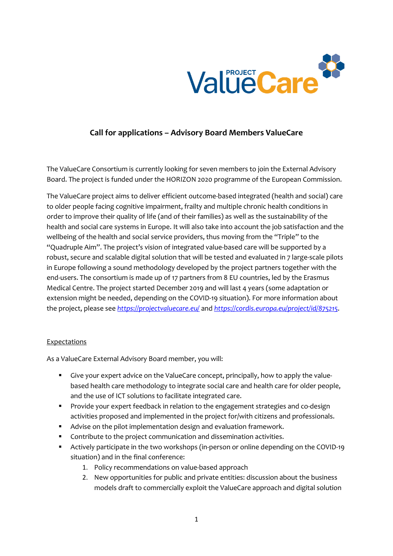

# **Call for applications – Advisory Board Members ValueCare**

The ValueCare Consortium is currently looking for seven members to join the External Advisory Board. The project is funded under the HORIZON 2020 programme of the European Commission.

The ValueCare project aims to deliver efficient outcome-based integrated (health and social) care to older people facing cognitive impairment, frailty and multiple chronic health conditions in order to improve their quality of life (and of their families) as well as the sustainability of the health and social care systems in Europe. It will also take into account the job satisfaction and the wellbeing of the health and social service providers, thus moving from the "Triple" to the "Quadruple Aim". The project's vision of integrated value-based care will be supported by a robust, secure and scalable digital solution that will be tested and evaluated in 7 large-scale pilots in Europe following a sound methodology developed by the project partners together with the end-users. The consortium is made up of 17 partners from 8 EU countries, led by the Erasmus Medical Centre. The project started December 2019 and will last 4 years (some adaptation or extension might be needed, depending on the COVID-19 situation). For more information about the project, please see *<https://projectvaluecare.eu/>* and *<https://cordis.europa.eu/project/id/875215>*.

## **Expectations**

As a ValueCare External Advisory Board member, you will:

- Give your expert advice on the ValueCare concept, principally, how to apply the valuebased health care methodology to integrate social care and health care for older people, and the use of ICT solutions to facilitate integrated care.
- Provide your expert feedback in relation to the engagement strategies and co-design activities proposed and implemented in the project for/with citizens and professionals.
- Advise on the pilot implementation design and evaluation framework.
- **Contribute to the project communication and dissemination activities.**
- Actively participate in the two workshops (in-person or online depending on the COVID-19 situation) and in the final conference:
	- 1. Policy recommendations on value-based approach
	- 2. New opportunities for public and private entities: discussion about the business models draft to commercially exploit the ValueCare approach and digital solution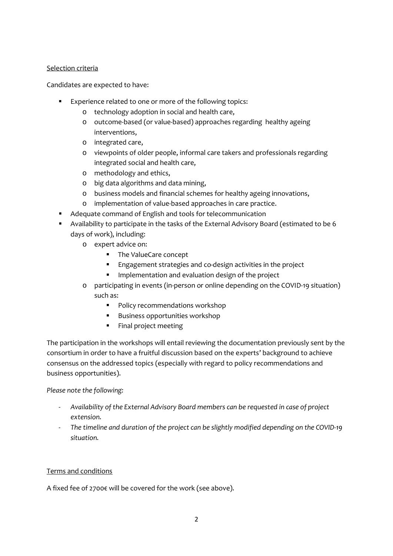## Selection criteria

Candidates are expected to have:

- **Experience related to one or more of the following topics:** 
	- o technology adoption in social and health care,
	- o outcome-based (or value-based) approaches regarding healthy ageing interventions,
	- o integrated care,
	- o viewpoints of older people, informal care takers and professionals regarding integrated social and health care,
	- o methodology and ethics,
	- o big data algorithms and data mining,
	- o business models and financial schemes for healthy ageing innovations,
	- o implementation of value-based approaches in care practice.
- Adequate command of English and tools for telecommunication
- Availability to participate in the tasks of the External Advisory Board (estimated to be 6 days of work), including:
	- o expert advice on:
		- **The ValueCare concept**
		- Engagement strategies and co-design activities in the project
		- Implementation and evaluation design of the project
	- o participating in events (in-person or online depending on the COVID-19 situation) such as:
		- **Policy recommendations workshop**
		- **Business opportunities workshop**
		- **Final project meeting**

The participation in the workshops will entail reviewing the documentation previously sent by the consortium in order to have a fruitful discussion based on the experts' background to achieve consensus on the addressed topics (especially with regard to policy recommendations and business opportunities).

*Please note the following:*

- *Availability of the External Advisory Board members can be requested in case of project extension.*
- *The timeline and duration of the project can be slightly modified depending on the COVID-19 situation.*

## Terms and conditions

A fixed fee of 2700€ will be covered for the work (see above).